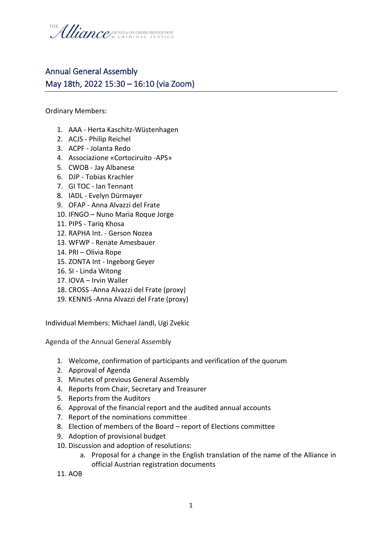

## Annual General Assembly May 18th, 2022 15:30 – 16:10 (via Zoom)

Ordinary Members:

- 1. AAA Herta Kaschitz-Wüstenhagen
- 2. ACJS Philip Reichel
- 3. ACPF Jolanta Redo
- 4. Associazione «Cortociruito -APS»
- 5. CWOB Jay Albanese
- 6. DJP Tobias Krachler
- 7. GI TOC Ian Tennant
- 8. IADL Evelyn Dürmayer
- 9. OFAP Anna Alvazzi del Frate
- 10. IFNGO Nuno Maria Roque Jorge
- 11. PIPS Tariq Khosa
- 12. RAPHA Int. Gerson Nozea
- 13. WFWP Renate Amesbauer
- 14. PRI Olivia Rope
- 15. ZONTA Int Ingeborg Geyer
- 16. SI Linda Witong
- 17. IOVA Irvin Waller
- 18. CROSS -Anna Alvazzi del Frate (proxy)
- 19. KENNIS -Anna Alvazzi del Frate (proxy)

Individual Members: Michael Jandl, Ugi Zvekic

Agenda of the Annual General Assembly

- 1. Welcome, confirmation of participants and verification of the quorum
- 2. Approval of Agenda
- 3. Minutes of previous General Assembly
- 4. Reports from Chair, Secretary and Treasurer
- 5. Reports from the Auditors
- 6. Approval of the financial report and the audited annual accounts
- 7. Report of the nominations committee
- 8. Election of members of the Board report of Elections committee
- 9. Adoption of provisional budget
- 10. Discussion and adoption of resolutions:
	- a. Proposal for a change in the English translation of the name of the Alliance in official Austrian registration documents
- 11. AOB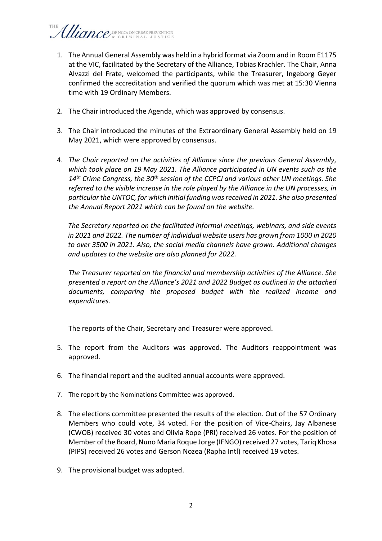## Uliance/ SE NGOS ON CRIME PREVENTION

- 1. The Annual General Assembly was held in a hybrid format via Zoom and in Room E1175 at the VIC, facilitated by the Secretary of the Alliance, Tobias Krachler. The Chair, Anna Alvazzi del Frate, welcomed the participants, while the Treasurer, Ingeborg Geyer confirmed the accreditation and verified the quorum which was met at 15:30 Vienna time with 19 Ordinary Members.
- 2. The Chair introduced the Agenda, which was approved by consensus.
- 3. The Chair introduced the minutes of the Extraordinary General Assembly held on 19 May 2021, which were approved by consensus.
- 4. *The Chair reported on the activities of Alliance since the previous General Assembly, which took place on 19 May 2021. The Alliance participated in UN events such as the 14th Crime Congress, the 30th session of the CCPCJ and various other UN meetings. She referred to the visible increase in the role played by the Alliance in the UN processes, in particular the UNTOC, for which initial funding was received in 2021. She also presented the Annual Report 2021 which can be found on the website.*

*The Secretary reported on the facilitated informal meetings, webinars, and side events in 2021 and 2022. The number of individual website users has grown from 1000 in 2020 to over 3500 in 2021. Also, the social media channels have grown. Additional changes and updates to the website are also planned for 2022.* 

*The Treasurer reported on the financial and membership activities of the Alliance. She presented a report on the Alliance's 2021 and 2022 Budget as outlined in the attached documents, comparing the proposed budget with the realized income and expenditures.*

The reports of the Chair, Secretary and Treasurer were approved.

- 5. The report from the Auditors was approved. The Auditors reappointment was approved.
- 6. The financial report and the audited annual accounts were approved.
- 7. The report by the Nominations Committee was approved.
- 8. The elections committee presented the results of the election. Out of the 57 Ordinary Members who could vote, 34 voted. For the position of Vice-Chairs, Jay Albanese (CWOB) received 30 votes and Olivia Rope (PRI) received 26 votes. For the position of Member of the Board, Nuno Maria Roque Jorge (IFNGO) received 27 votes, Tariq Khosa (PIPS) received 26 votes and Gerson Nozea (Rapha Intl) received 19 votes.
- 9. The provisional budget was adopted.